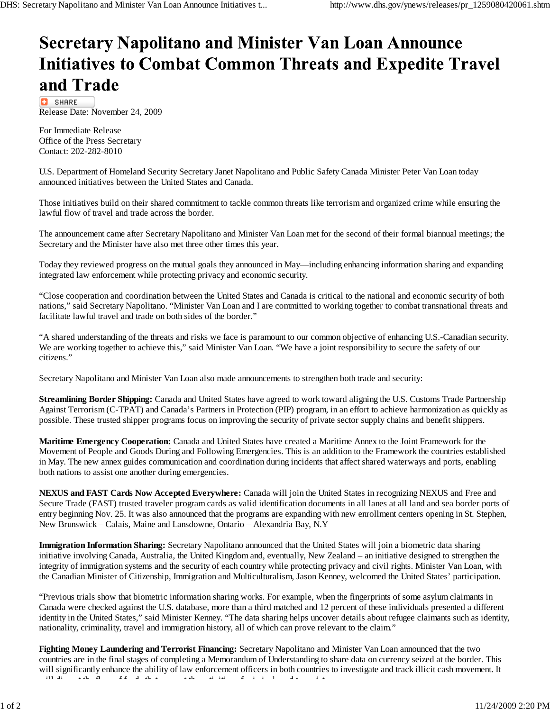## **Secretary Napolitano and Minister Van Loan Announce Initiatives to Combat Common Threats and Expedite Travel** and Trade

**C** SHARE Release Date: November 24, 2009

For Immediate Release Office of the Press Secretary Contact: 202-282-8010

U.S. Department of Homeland Security Secretary Janet Napolitano and Public Safety Canada Minister Peter Van Loan today announced initiatives between the United States and Canada.

Those initiatives build on their shared commitment to tackle common threats like terrorism and organized crime while ensuring the lawful flow of travel and trade across the border.

The announcement came after Secretary Napolitano and Minister Van Loan met for the second of their formal biannual meetings; the Secretary and the Minister have also met three other times this year.

Today they reviewed progress on the mutual goals they announced in May—including enhancing information sharing and expanding integrated law enforcement while protecting privacy and economic security.

"Close cooperation and coordination between the United States and Canada is critical to the national and economic security of both nations," said Secretary Napolitano. "Minister Van Loan and I are committed to working together to combat transnational threats and facilitate lawful travel and trade on both sides of the border."

"A shared understanding of the threats and risks we face is paramount to our common objective of enhancing U.S.-Canadian security. We are working together to achieve this," said Minister Van Loan. "We have a joint responsibility to secure the safety of our citizens."

Secretary Napolitano and Minister Van Loan also made announcements to strengthen both trade and security:

**Streamlining Border Shipping:** Canada and United States have agreed to work toward aligning the U.S. Customs Trade Partnership Against Terrorism (C-TPAT) and Canada's Partners in Protection (PIP) program, in an effort to achieve harmonization as quickly as possible. These trusted shipper programs focus on improving the security of private sector supply chains and benefit shippers.

**Maritime Emergency Cooperation:** Canada and United States have created a Maritime Annex to the Joint Framework for the Movement of People and Goods During and Following Emergencies. This is an addition to the Framework the countries established in May. The new annex guides communication and coordination during incidents that affect shared waterways and ports, enabling both nations to assist one another during emergencies.

**NEXUS and FAST Cards Now Accepted Everywhere:** Canada will join the United States in recognizing NEXUS and Free and Secure Trade (FAST) trusted traveler program cards as valid identification documents in all lanes at all land and sea border ports of entry beginning Nov. 25. It was also announced that the programs are expanding with new enrollment centers opening in St. Stephen, New Brunswick – Calais, Maine and Lansdowne, Ontario – Alexandria Bay, N.Y

**Immigration Information Sharing:** Secretary Napolitano announced that the United States will join a biometric data sharing initiative involving Canada, Australia, the United Kingdom and, eventually, New Zealand – an initiative designed to strengthen the integrity of immigration systems and the security of each country while protecting privacy and civil rights. Minister Van Loan, with the Canadian Minister of Citizenship, Immigration and Multiculturalism, Jason Kenney, welcomed the United States' participation.

"Previous trials show that biometric information sharing works. For example, when the fingerprints of some asylum claimants in Canada were checked against the U.S. database, more than a third matched and 12 percent of these individuals presented a different identity in the United States," said Minister Kenney. "The data sharing helps uncover details about refugee claimants such as identity, nationality, criminality, travel and immigration history, all of which can prove relevant to the claim."

**Fighting Money Laundering and Terrorist Financing:** Secretary Napolitano and Minister Van Loan announced that the two countries are in the final stages of completing a Memorandum of Understanding to share data on currency seized at the border. This will significantly enhance the ability of law enforcement officers in both countries to investigate and track illicit cash movement. It ill di t ti iti iti i ta florida territoria di territoria di territoria di territoria di territoria di territo<br>La territoria